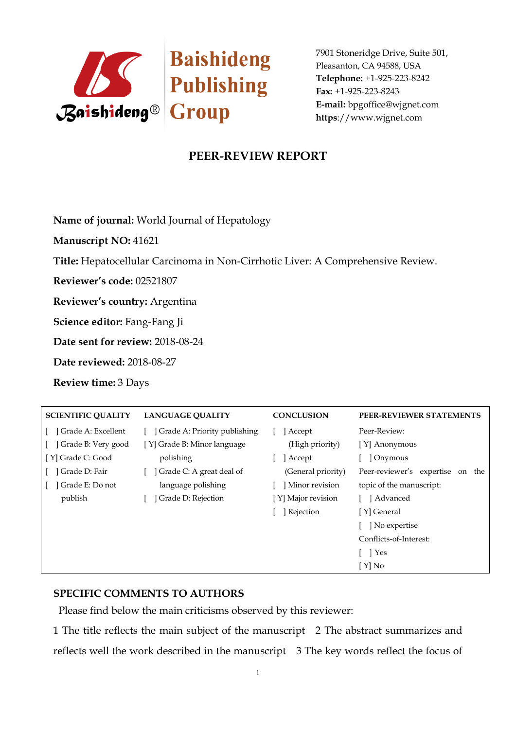

## **PEER-REVIEW REPORT**

**Name of journal:** World Journal of Hepatology

**Manuscript NO:** 41621

**Title:** Hepatocellular Carcinoma in Non-Cirrhotic Liver: A Comprehensive Review.

**Reviewer's code:** 02521807

**Reviewer's country:** Argentina

**Science editor:** Fang-Fang Ji

**Date sent for review:** 2018-08-24

**Date reviewed:** 2018-08-27

**Review time:** 3 Days

| <b>SCIENTIFIC QUALITY</b> | <b>LANGUAGE QUALITY</b>      | <b>CONCLUSION</b>  | PEER-REVIEWER STATEMENTS            |
|---------------------------|------------------------------|--------------------|-------------------------------------|
| ] Grade A: Excellent      | Grade A: Priority publishing | Accept             | Peer-Review:                        |
| Grade B: Very good        | [Y] Grade B: Minor language  | (High priority)    | [Y] Anonymous                       |
| [ Y] Grade C: Good        | polishing                    | Accept             | ] Onymous                           |
| Grade D: Fair             | Grade C: A great deal of     | (General priority) | Peer-reviewer's expertise<br>on the |
| Grade E: Do not           | language polishing           | Minor revision     | topic of the manuscript:            |
| publish                   | Grade D: Rejection           | [Y] Major revision | 1 Advanced                          |
|                           |                              | Rejection          | [Y] General                         |
|                           |                              |                    | No expertise                        |
|                           |                              |                    | Conflicts-of-Interest:              |
|                           |                              |                    | $\Box$ Yes                          |
|                           |                              |                    | [Y] No                              |

### **SPECIFIC COMMENTS TO AUTHORS**

Please find below the main criticisms observed by this reviewer:

1 The title reflects the main subject of the manuscript 2 The abstract summarizes and reflects well the work described in the manuscript 3 The key words reflect the focus of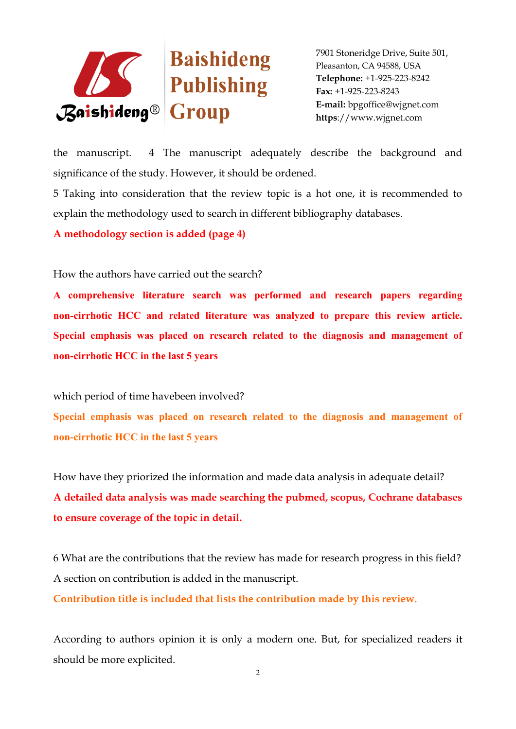

the manuscript. 4 The manuscript adequately describe the background and significance of the study. However, it should be ordened.

5 Taking into consideration that the review topic is a hot one, it is recommended to explain the methodology used to search in different bibliography databases.

**A methodology section is added (page 4)**

How the authors have carried out the search?

**A comprehensive literature search was performed and research papers regarding non-cirrhotic HCC and related literature was analyzed to prepare this review article. Special emphasis was placed on research related to the diagnosis and management of non-cirrhotic HCC in the last 5 years**

which period of time havebeen involved?

**Special emphasis was placed on research related to the diagnosis and management of non-cirrhotic HCC in the last 5 years**

How have they priorized the information and made data analysis in adequate detail? **A detailed data analysis was made searching the pubmed, scopus, Cochrane databases to ensure coverage of the topic in detail.**

6 What are the contributions that the review has made for research progress in this field? A section on contribution is added in the manuscript.

**Contribution title is included that lists the contribution made by this review.**

According to authors opinion it is only a modern one. But, for specialized readers it should be more explicited.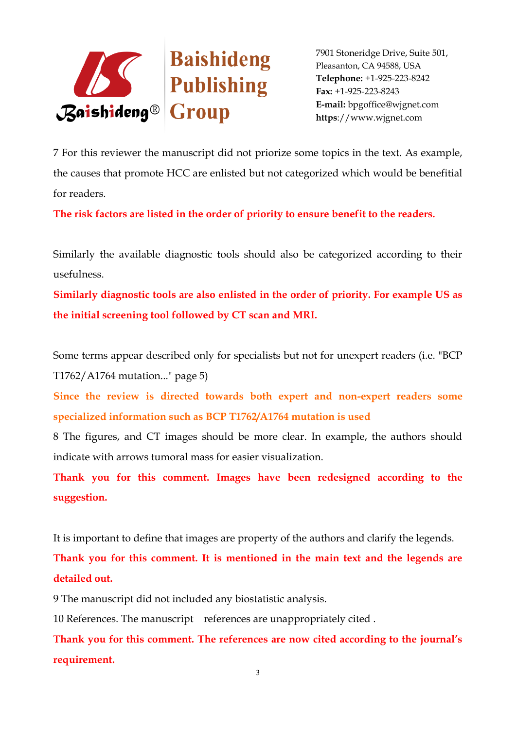

7 For this reviewer the manuscript did not priorize some topics in the text. As example, the causes that promote HCC are enlisted but not categorized which would be benefitial for readers.

**The risk factors are listed in the order of priority to ensure benefit to the readers.**

Similarly the available diagnostic tools should also be categorized according to their usefulness.

**Similarly diagnostic tools are also enlisted in the order of priority. For example US as the initial screening tool followed by CT scan and MRI.**

Some terms appear described only for specialists but not for unexpert readers (i.e. "BCP T1762/A1764 mutation..." page 5)

**Since the review is directed towards both expert and non-expert readers some specialized information such as BCP T1762/A1764 mutation is used**

8 The figures, and CT images should be more clear. In example, the authors should indicate with arrows tumoral mass for easier visualization.

**Thank you for this comment. Images have been redesigned according to the suggestion.**

It is important to define that images are property of the authors and clarify the legends.

**Thank you for this comment. It is mentioned in the main text and the legends are detailed out.**

9 The manuscript did not included any biostatistic analysis.

10 References. The manuscript references are unappropriately cited .

**Thank you for this comment. The references are now cited according to the journal's requirement.**

3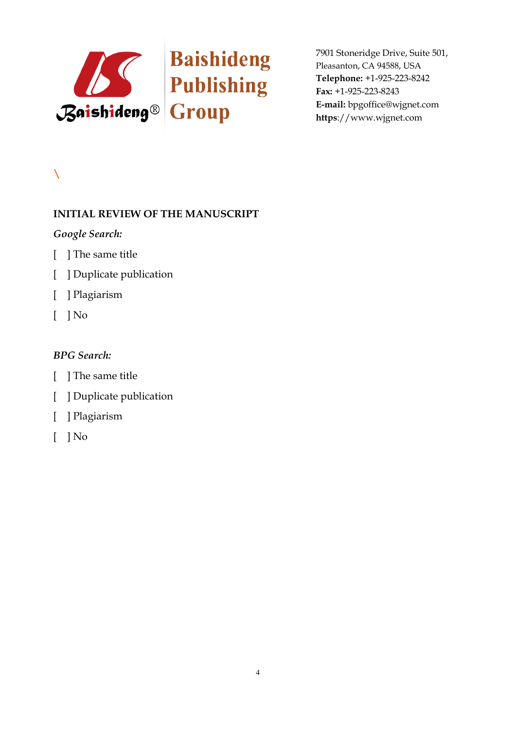

# **\**

## **INITIAL REVIEW OF THE MANUSCRIPT**

## *Google Search:*

- [ ] The same title
- [ ] Duplicate publication
- [ ] Plagiarism
- [ ] No

- [ ] The same title
- [ ] Duplicate publication
- [ ] Plagiarism
- $\lceil$   $\rceil$  No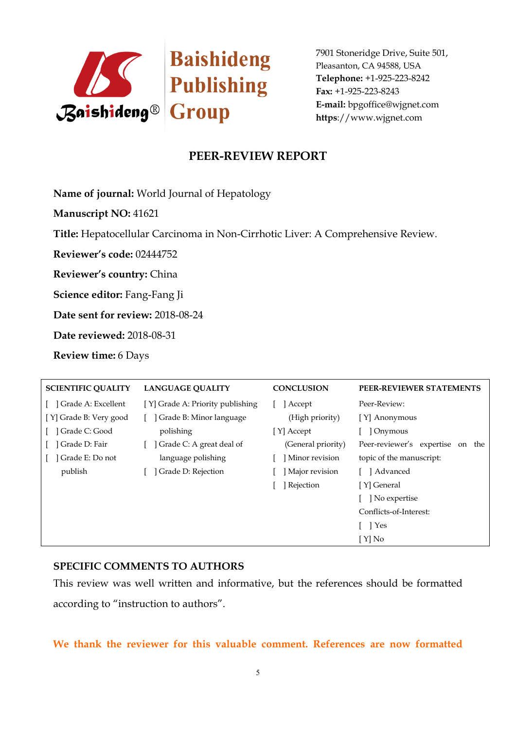

## **PEER-REVIEW REPORT**

**Name of journal:** World Journal of Hepatology

**Manuscript NO:** 41621

**Title:** Hepatocellular Carcinoma in Non-Cirrhotic Liver: A Comprehensive Review.

**Reviewer's code:** 02444752

**Reviewer's country:** China

**Science editor:** Fang-Fang Ji

**Date sent for review:** 2018-08-24

**Date reviewed:** 2018-08-31

**Review time:** 6 Days

| <b>SCIENTIFIC QUALITY</b> | <b>LANGUAGE QUALITY</b>          | <b>CONCLUSION</b>  | PEER-REVIEWER STATEMENTS               |
|---------------------------|----------------------------------|--------------------|----------------------------------------|
| Grade A: Excellent        | [Y] Grade A: Priority publishing | ] Accept           | Peer-Review:                           |
| [Y] Grade B: Very good    | Grade B: Minor language          | (High priority)    | [Y] Anonymous                          |
| ] Grade C: Good           | polishing                        | [Y] Accept         | 1 Onymous                              |
| Grade D: Fair             | Grade C: A great deal of         | (General priority) | Peer-reviewer's expertise<br>the<br>on |
| Grade E: Do not           | language polishing               | Minor revision     | topic of the manuscript:               |
| publish                   | Grade D: Rejection               | Major revision     | [ ] Advanced                           |
|                           |                                  | ] Rejection        | [Y] General                            |
|                           |                                  |                    | ] No expertise                         |
|                           |                                  |                    | Conflicts-of-Interest:                 |
|                           |                                  |                    | T Pes                                  |
|                           |                                  |                    | [ Y] No                                |

### **SPECIFIC COMMENTS TO AUTHORS**

This review was well written and informative, but the references should be formatted according to "instruction to authors".

**We thank the reviewer for this valuable comment. References are now formatted**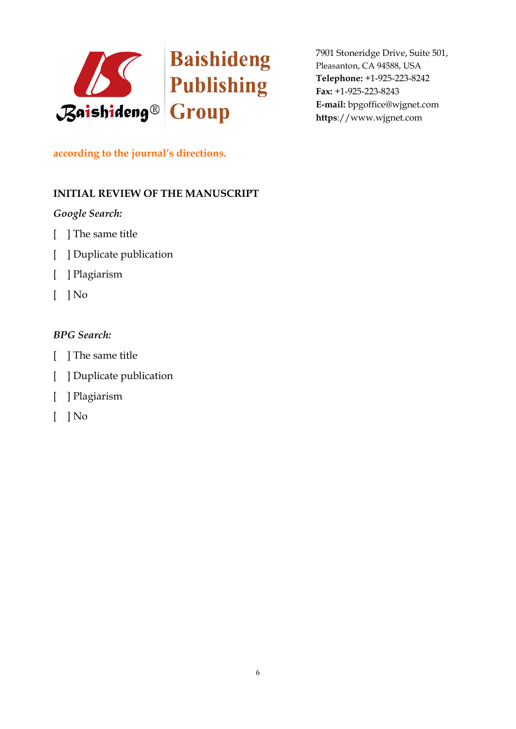

## **according to the journal's directions.**

## **INITIAL REVIEW OF THE MANUSCRIPT**

## *Google Search:*

- [ ] The same title
- [ ] Duplicate publication
- [ ] Plagiarism
- $[$   $]$  No

- [ ] The same title
- [ ] Duplicate publication
- [ ] Plagiarism
- [ ] No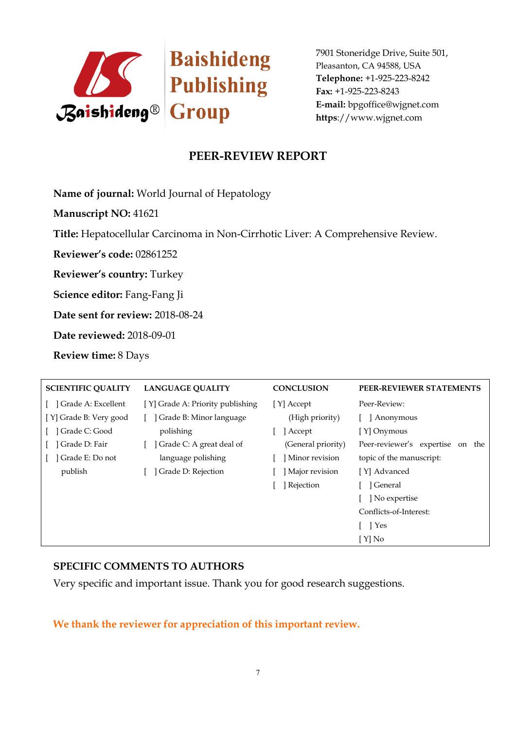

## **PEER-REVIEW REPORT**

**Name of journal:** World Journal of Hepatology

**Manuscript NO:** 41621

**Title:** Hepatocellular Carcinoma in Non-Cirrhotic Liver: A Comprehensive Review.

**Reviewer's code:** 02861252

**Reviewer's country:** Turkey

**Science editor:** Fang-Fang Ji

**Date sent for review:** 2018-08-24

**Date reviewed:** 2018-09-01

**Review time:** 8 Days

| <b>SCIENTIFIC QUALITY</b> | <b>LANGUAGE QUALITY</b>          | <b>CONCLUSION</b>  | PEER-REVIEWER STATEMENTS               |
|---------------------------|----------------------------------|--------------------|----------------------------------------|
| Grade A: Excellent        | [Y] Grade A: Priority publishing | [Y] Accept         | Peer-Review:                           |
| [Y] Grade B: Very good    | Grade B: Minor language          | (High priority)    | Anonymous                              |
| Grade C: Good             | polishing                        | Accept             | [Y] Onymous                            |
| Grade D: Fair             | Grade C: A great deal of         | (General priority) | Peer-reviewer's expertise<br>the<br>on |
| Grade E: Do not           | language polishing               | Minor revision     | topic of the manuscript:               |
| publish                   | Grade D: Rejection               | Major revision     | [Y] Advanced                           |
|                           |                                  | Rejection          | ] General                              |
|                           |                                  |                    | No expertise                           |
|                           |                                  |                    | Conflicts-of-Interest:                 |
|                           |                                  |                    | T Pes                                  |
|                           |                                  |                    | [Y] No                                 |

### **SPECIFIC COMMENTS TO AUTHORS**

Very specific and important issue. Thank you for good research suggestions.

**We thank the reviewer for appreciation of this important review.**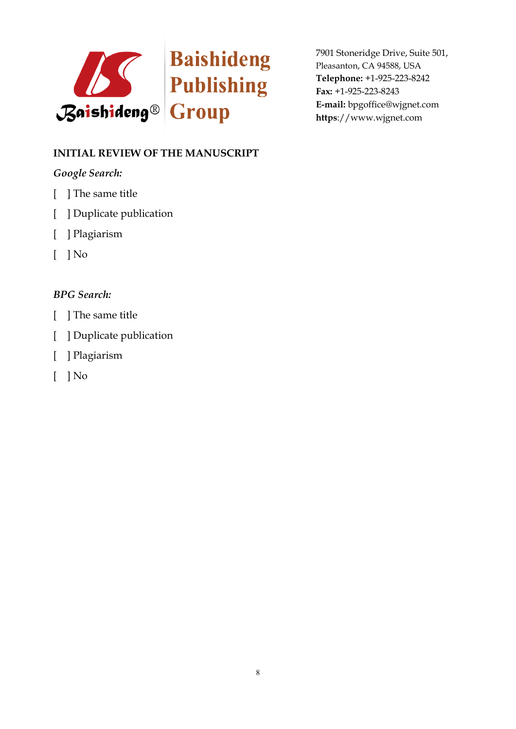

## **INITIAL REVIEW OF THE MANUSCRIPT**

## *Google Search:*

- [ ] The same title
- [ ] Duplicate publication
- [ ] Plagiarism
- $\lceil$   $\rceil$  No

- [ ] The same title
- [ ] Duplicate publication
- [ ] Plagiarism
- $\lceil$   $\rceil$  No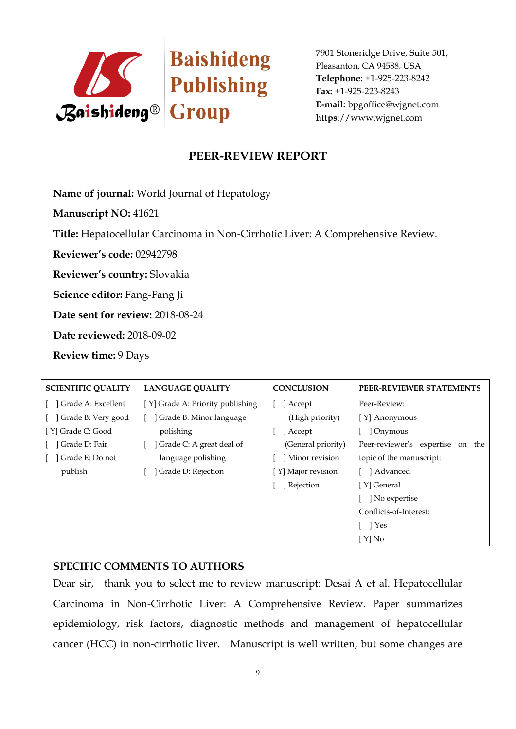

## **PEER-REVIEW REPORT**

**Name of journal:** World Journal of Hepatology

**Manuscript NO:** 41621

**Title:** Hepatocellular Carcinoma in Non-Cirrhotic Liver: A Comprehensive Review.

**Reviewer's code:** 02942798

**Reviewer's country:** Slovakia

**Science editor:** Fang-Fang Ji

**Date sent for review:** 2018-08-24

**Date reviewed:** 2018-09-02

**Review time:** 9 Days

| <b>SCIENTIFIC QUALITY</b> | <b>LANGUAGE QUALITY</b>          | <b>CONCLUSION</b>  | PEER-REVIEWER STATEMENTS               |
|---------------------------|----------------------------------|--------------------|----------------------------------------|
| ] Grade A: Excellent      | [Y] Grade A: Priority publishing | Accept             | Peer-Review:                           |
| ] Grade B: Very good      | Grade B: Minor language          | (High priority)    | [Y] Anonymous                          |
| [Y] Grade C: Good         | polishing                        | ] Accept           | Onymous                                |
| Grade D: Fair             | Grade C: A great deal of         | (General priority) | Peer-reviewer's expertise<br>the<br>on |
| Grade E: Do not           | language polishing               | Minor revision     | topic of the manuscript:               |
| publish                   | Grade D: Rejection               | [Y] Major revision | [ ] Advanced                           |
|                           |                                  | Rejection          | [Y] General                            |
|                           |                                  |                    | No expertise                           |
|                           |                                  |                    | Conflicts-of-Interest:                 |
|                           |                                  |                    | [ ] Yes                                |
|                           |                                  |                    | [ Y] No                                |

#### **SPECIFIC COMMENTS TO AUTHORS**

Dear sir, thank you to select me to review manuscript: Desai A et al. Hepatocellular Carcinoma in Non-Cirrhotic Liver: A Comprehensive Review. Paper summarizes epidemiology, risk factors, diagnostic methods and management of hepatocellular cancer (HCC) in non-cirrhotic liver. Manuscript is well written, but some changes are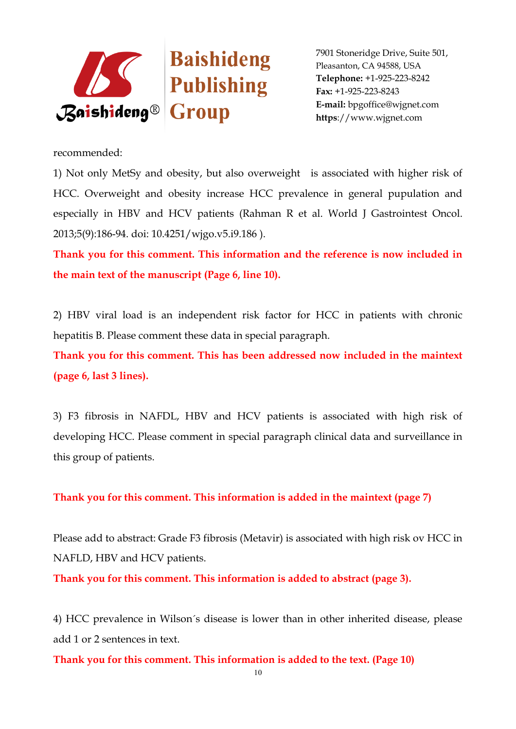

recommended:

1) Not only MetSy and obesity, but also overweight is associated with higher risk of HCC. Overweight and obesity increase HCC prevalence in general pupulation and especially in HBV and HCV patients (Rahman R et al. World J Gastrointest Oncol. 2013;5(9):186-94. doi: 10.4251/wjgo.v5.i9.186 ).

**Thank you for this comment. This information and the reference is now included in the main text of the manuscript (Page 6, line 10).**

2) HBV viral load is an independent risk factor for HCC in patients with chronic hepatitis B. Please comment these data in special paragraph.

**Thank you for this comment. This has been addressed now included in the maintext (page 6, last 3 lines).**

3) F3 fibrosis in NAFDL, HBV and HCV patients is associated with high risk of developing HCC. Please comment in special paragraph clinical data and surveillance in this group of patients.

**Thank you for this comment. This information is added in the maintext (page 7)**

Please add to abstract: Grade F3 fibrosis (Metavir) is associated with high risk ov HCC in NAFLD, HBV and HCV patients.

**Thank you for this comment. This information is added to abstract (page 3).**

4) HCC prevalence in Wilson´s disease is lower than in other inherited disease, please add 1 or 2 sentences in text.

**Thank you for this comment. This information is added to the text. (Page 10)**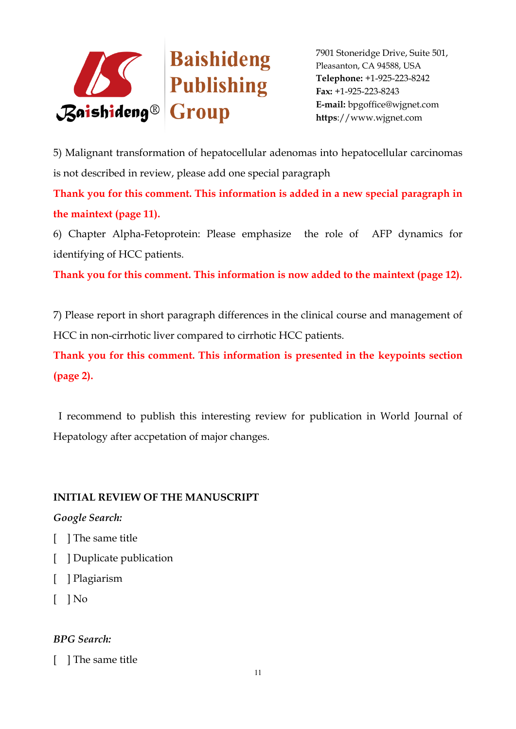

5) Malignant transformation of hepatocellular adenomas into hepatocellular carcinomas is not described in review, please add one special paragraph

**Thank you for this comment. This information is added in a new special paragraph in the maintext (page 11).**

6) Chapter Alpha-Fetoprotein: Please emphasize the role of AFP dynamics for identifying of HCC patients.

**Thank you for this comment. This information is now added to the maintext (page 12).**

7) Please report in short paragraph differences in the clinical course and management of HCC in non-cirrhotic liver compared to cirrhotic HCC patients.

**Thank you for this comment. This information is presented in the keypoints section (page 2).**

I recommend to publish this interesting review for publication in World Journal of Hepatology after accpetation of major changes.

## **INITIAL REVIEW OF THE MANUSCRIPT**

### *Google Search:*

- [ ] The same title
- [ ] Duplicate publication
- [ ] Plagiarism
- $\lceil \;\; \rceil$  No

### *BPG Search:*

[ ] The same title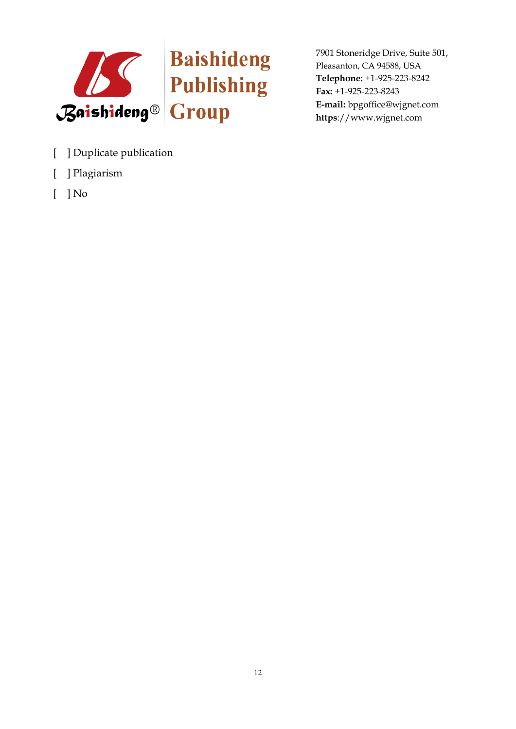

- [ ] Duplicate publication
- [ ] Plagiarism
- $[$   $]$  No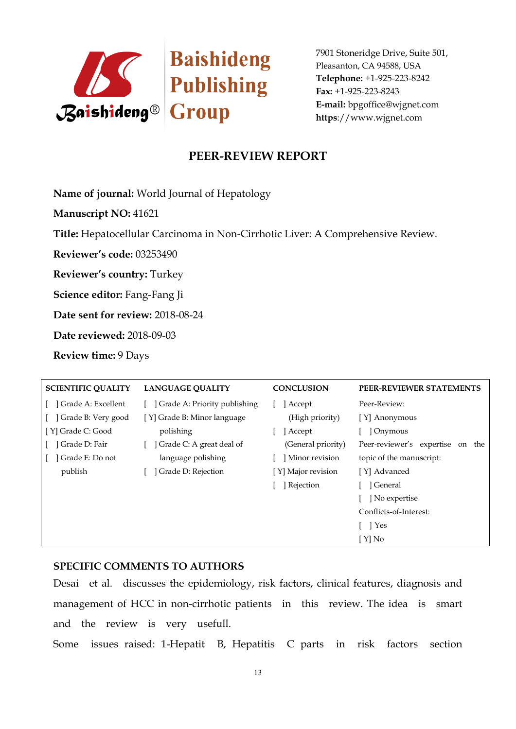

## **PEER-REVIEW REPORT**

**Name of journal:** World Journal of Hepatology

**Manuscript NO:** 41621

**Title:** Hepatocellular Carcinoma in Non-Cirrhotic Liver: A Comprehensive Review.

**Reviewer's code:** 03253490

**Reviewer's country:** Turkey

**Science editor:** Fang-Fang Ji

**Date sent for review:** 2018-08-24

**Date reviewed:** 2018-09-03

**Review time:** 9 Days

| <b>SCIENTIFIC QUALITY</b> | <b>LANGUAGE QUALITY</b>      | <b>CONCLUSION</b>  | PEER-REVIEWER STATEMENTS            |
|---------------------------|------------------------------|--------------------|-------------------------------------|
| ] Grade A: Excellent      | Grade A: Priority publishing | Accept             | Peer-Review:                        |
| ] Grade B: Very good      | [Y] Grade B: Minor language  | (High priority)    | [Y] Anonymous                       |
| [Y] Grade C: Good         | polishing                    | Accept             | Onymous                             |
| Grade D: Fair             | Grade C: A great deal of     | (General priority) | Peer-reviewer's expertise<br>on the |
| Grade E: Do not           | language polishing           | Minor revision     | topic of the manuscript:            |
| publish                   | Grade D: Rejection           | [Y] Major revision | [Y] Advanced                        |
|                           |                              | Rejection          | ] General                           |
|                           |                              |                    | No expertise                        |
|                           |                              |                    | Conflicts-of-Interest:              |
|                           |                              |                    | [ ] Yes                             |
|                           |                              |                    | [ Y] No                             |

#### **SPECIFIC COMMENTS TO AUTHORS**

Desai et al. discusses the epidemiology, risk factors, clinical features, diagnosis and management of HCC in non-cirrhotic patients in this review. The idea is smart and the review is very usefull.

Some issues raised: 1-Hepatit B, Hepatitis C parts in risk factors section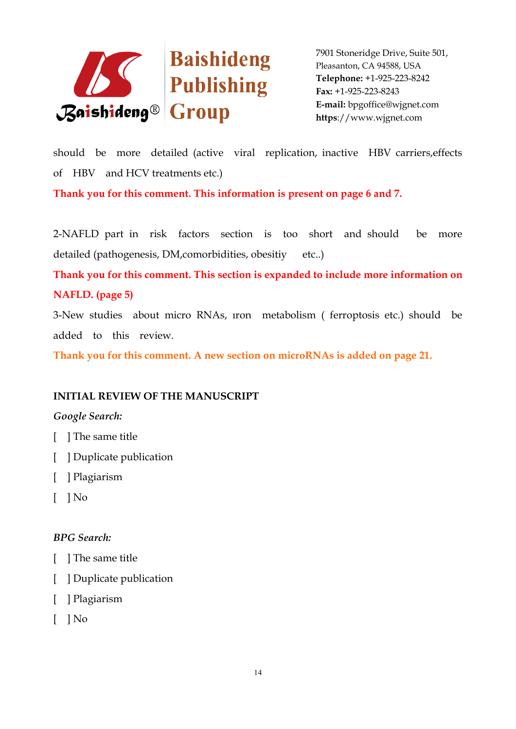

should be more detailed (active viral replication, inactive HBV carriers,effects of HBV and HCV treatments etc.)

**Thank you for this comment. This information is present on page 6 and 7.**

2-NAFLD part in risk factors section is too short and should be more detailed (pathogenesis, DM, comorbidities, obesitiy etc..)

**Thank you for this comment. This section is expanded to include more information on NAFLD. (page 5)**

3-New studies about micro RNAs, ıron metabolism ( ferroptosis etc.) should be added to this review.

**Thank you for this comment. A new section on microRNAs is added on page 21.**

## **INITIAL REVIEW OF THE MANUSCRIPT**

### *Google Search:*

- [ ] The same title
- [ ] Duplicate publication
- [ ] Plagiarism
- $\lceil$   $\rceil$  No

- [ ] The same title
- [ ] Duplicate publication
- [ ] Plagiarism
- $\lceil$  | No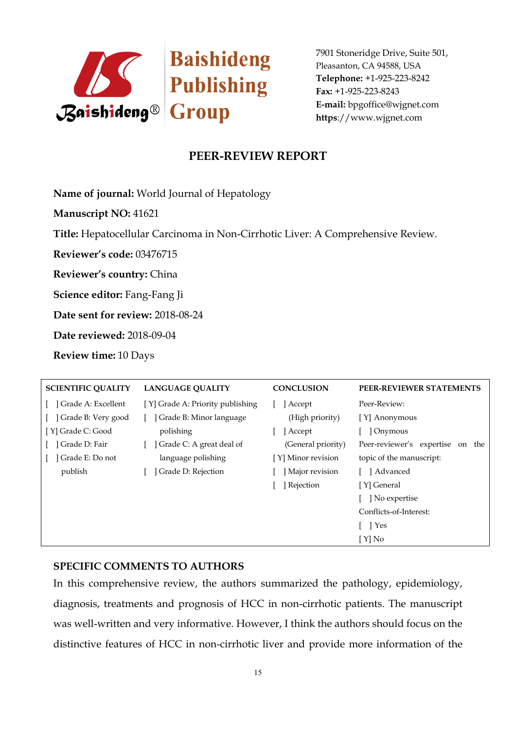

## **PEER-REVIEW REPORT**

**Name of journal:** World Journal of Hepatology

**Manuscript NO:** 41621

**Title:** Hepatocellular Carcinoma in Non-Cirrhotic Liver: A Comprehensive Review.

**Reviewer's code:** 03476715

**Reviewer's country:** China

**Science editor:** Fang-Fang Ji

**Date sent for review:** 2018-08-24

**Date reviewed:** 2018-09-04

**Review time:** 10 Days

| <b>SCIENTIFIC QUALITY</b> | <b>LANGUAGE QUALITY</b>          | <b>CONCLUSION</b>  | PEER-REVIEWER STATEMENTS               |
|---------------------------|----------------------------------|--------------------|----------------------------------------|
| Grade A: Excellent        | [Y] Grade A: Priority publishing | ] Accept           | Peer-Review:                           |
| Grade B: Very good        | Grade B: Minor language          | (High priority)    | [Y] Anonymous                          |
| [Y] Grade C: Good         | polishing                        | Accept             | Onymous                                |
| ] Grade D: Fair           | Grade C: A great deal of         | (General priority) | Peer-reviewer's expertise<br>the<br>on |
| Grade E: Do not           | language polishing               | [Y] Minor revision | topic of the manuscript:               |
| publish                   | Grade D: Rejection               | Major revision     | ] Advanced                             |
|                           |                                  | Rejection          | [Y] General                            |
|                           |                                  |                    | No expertise                           |
|                           |                                  |                    | Conflicts-of-Interest:                 |
|                           |                                  |                    | [ ] Yes                                |
|                           |                                  |                    | [Y] No                                 |

#### **SPECIFIC COMMENTS TO AUTHORS**

In this comprehensive review, the authors summarized the pathology, epidemiology, diagnosis, treatments and prognosis of HCC in non-cirrhotic patients. The manuscript was well-written and very informative. However, I think the authors should focus on the distinctive features of HCC in non-cirrhotic liver and provide more information of the